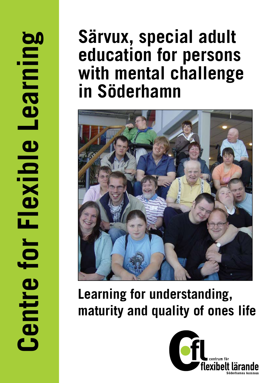# **Särvux, special adult education for persons with mental challenge in Söderhamn**



# **Learning for understanding, maturity and quality of ones life**

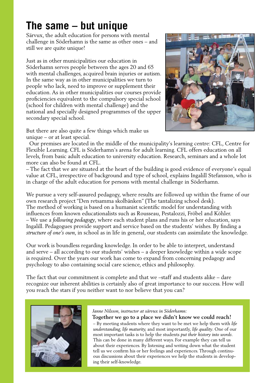### **The same – but unique**

Särvux, the adult education for persons with mental challenge in Söderhamn is the same as other ones – and still we are quite unique!

Just as in other municipalities our education in Söderhamn serves people between the ages 20 and 65 with mental challenges, acquired brain injuries or autism. In the same way as in other municipalities we turn to people who lack, need to improve or supplement their education. As in other municipalities our courses provide proficiencies equivalent to the compulsory special school (school for children with mental challenge) and the national and specially designed programmes of the upper secondary special school.



But there are also quite a few things which make us unique – or at least special.

 Our premises are located in the middle of the municipality's learning centre: CFL, Centre for Flexible Learning. CFL is Söderhamn's arena for adult learning. CFL offers education on all levels, from basic adult education to university education. Research, seminars and a whole lot more can also be found at CFL.

– The fact that we are situated at the heart of the building is good evidence of everyone's equal value at CFL, irrespective of background and type of school, explains Ingalill Stefansson, who is in charge of the adult education for persons with mental challenge in Söderhamn.

We pursue a very self-assured pedagogy, where results are followed up within the frame of our own research project "Den retsamma skolbänken" (The tantalizing school desk). The method of working is based on a humanist scientific model for understanding with influences from known educationalists such as Rousseau, Pestalozzi, Fröbel and Köhler. – We use a *following pedagogy*, where each student plans and runs his or her education, says Ingalill. Pedagogues provide support and service based on the students' wishes. By finding a *structure of one's own*, in school as in life in general, our students can assimilate the knowledge.

Our work is boundless regarding knowledge. In order to be able to interpret, understand and serve – all according to our students' wishes – a deeper knowledge within a wide scope is required. Over the years our work has come to expand from concerning pedagogy and psychology to also containing social care science, ethics and philosophy.

The fact that our commitment is complete and that we –staff and students alike – dare recognize our inherent abilities is certainly also of great importance to our success. How will you reach the stars if you neither want to nor believe that you can?



*Janne Nilsson, instructor at särvux in Söderhamn:*

**Together we go to a place we didn't know we could reach!**

– By meeting students where they want to be met we help them with *life understanding, life maturity,* and most importantly, *life quality*. One of our most important tasks is to help the students *put their history into words*. This can be done in many different ways. For example they can tell us about their experiences. By listening and writing down what the student tell us we confirm his or her feelings and experiences. Through continuous discussions about their experiences we help the students in developing their self-knowledge.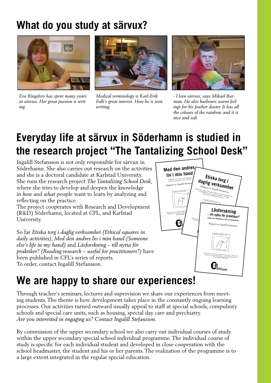## **What do you study at särvux?**



*Eva Ringefors has spent many years at särvux. Her great passion is writing.* 



*Medical terminology is Karl-Erik Falk's great interest. Here he is seen writing.*



*- I love särvux, says Mikael Burman. He also harbours warm feelings for his feather duster. It has all the colours of the rainbow and it is nice and soft.* 

### **Everyday life at särvux in Söderhamn is studied in the research project "The Tantalizing School Desk"**

Ingalill Stefansson is not only responsible for särvux in Söderhamn. She also carries out research on the activities and she is a doctoral candidate at Karlstad University. She runs the research project *The Tantalizing School Desk*, where she tries to develop and deepen the knowledge in *how* and *what* people want to learn by analyzing and reflecting on the practice.

The project cooperates with Research and Development (R&D) Söderhamn, located at CFL, and Karlstad University.

So far *Etiska torg i daglig verksamhet (Ethical squares in daily activities), Med den andres liv i min hand (Someone else's life in my hand)* and *Läsforskning – till nytta för praktiker? (Reading research – useful for practitioners?)* have been published in CFL's series of reports. To order, contact Ingalill Stefansson.



#### **We are happy to share our experiences!**

Through teacher's seminars, lectures and supervision we share our experiences from meeting students. The theme is how development takes place in the constantly ongoing learning processes. Our activities turned outward usually appeal to staff at special schools, compulsory schools and special care units, such as housing, special day care and psychiatry. *Are you interested in engaging us? Contact Ingalill Stefansson.*

By commission of the upper secondary school we also carry out individual courses of study within the upper secondary special school individual programme. The individual course of study is specific for each individual student and developed in close cooperation with the school headmaster, the student and his or her parents. The realization of the programme is to a large extent integrated in the regular special education.